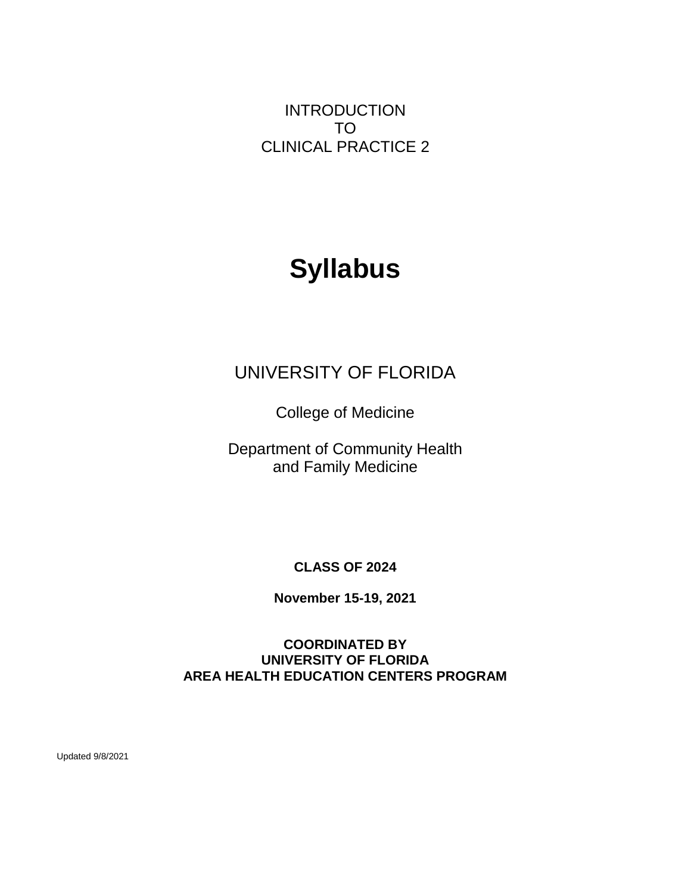INTRODUCTION TO CLINICAL PRACTICE 2

# **Syllabus**

# UNIVERSITY OF FLORIDA

College of Medicine

Department of Community Health and Family Medicine

**CLASS OF 2024**

**November 15-19, 2021**

# **COORDINATED BY UNIVERSITY OF FLORIDA** *0B***AREA HEALTH EDUCATION CENTERS PROGRAM**

Updated 9/8/2021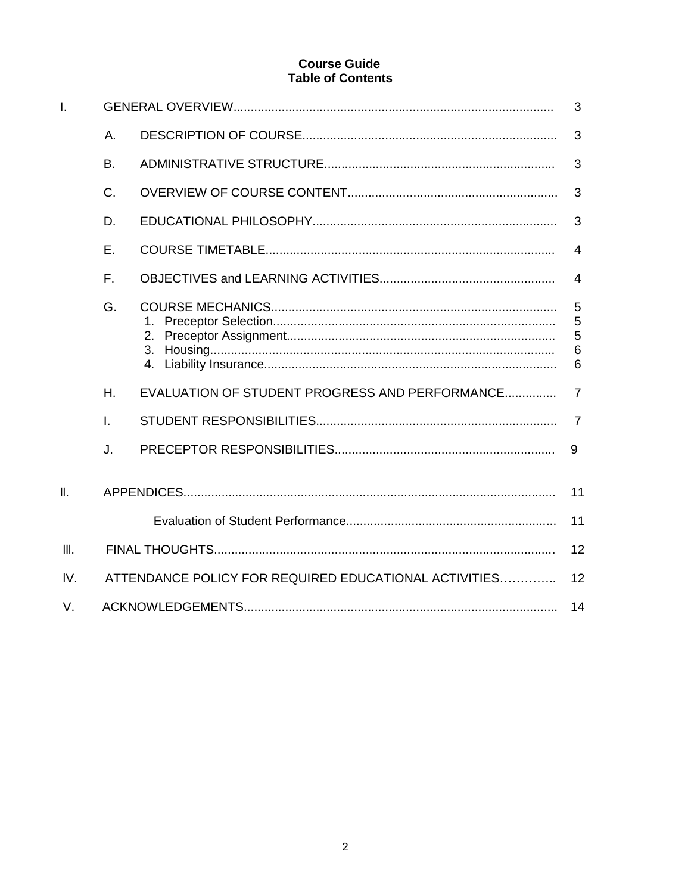# **Course Guide Table of Contents**

| $\mathbf{I}$ .  |                                                             |                                                |                           |  |  |
|-----------------|-------------------------------------------------------------|------------------------------------------------|---------------------------|--|--|
|                 | А.                                                          |                                                | 3                         |  |  |
|                 | B.                                                          |                                                | 3                         |  |  |
|                 | C.                                                          |                                                | 3                         |  |  |
|                 | D.                                                          |                                                | 3                         |  |  |
|                 | E.                                                          |                                                | $\overline{4}$            |  |  |
|                 | F.                                                          |                                                | 4                         |  |  |
|                 | G.                                                          | 2.                                             | 5<br>5<br>5<br>$\,6$<br>6 |  |  |
|                 | Η.                                                          | EVALUATION OF STUDENT PROGRESS AND PERFORMANCE | $\overline{7}$            |  |  |
|                 | T.                                                          |                                                | $\overline{7}$            |  |  |
|                 | J.                                                          |                                                | 9                         |  |  |
| $\mathbf{II}$ . |                                                             |                                                | 11                        |  |  |
|                 |                                                             |                                                | 11                        |  |  |
| III.            | 12                                                          |                                                |                           |  |  |
| IV.             | ATTENDANCE POLICY FOR REQUIRED EDUCATIONAL ACTIVITIES<br>12 |                                                |                           |  |  |
| V.              | 14                                                          |                                                |                           |  |  |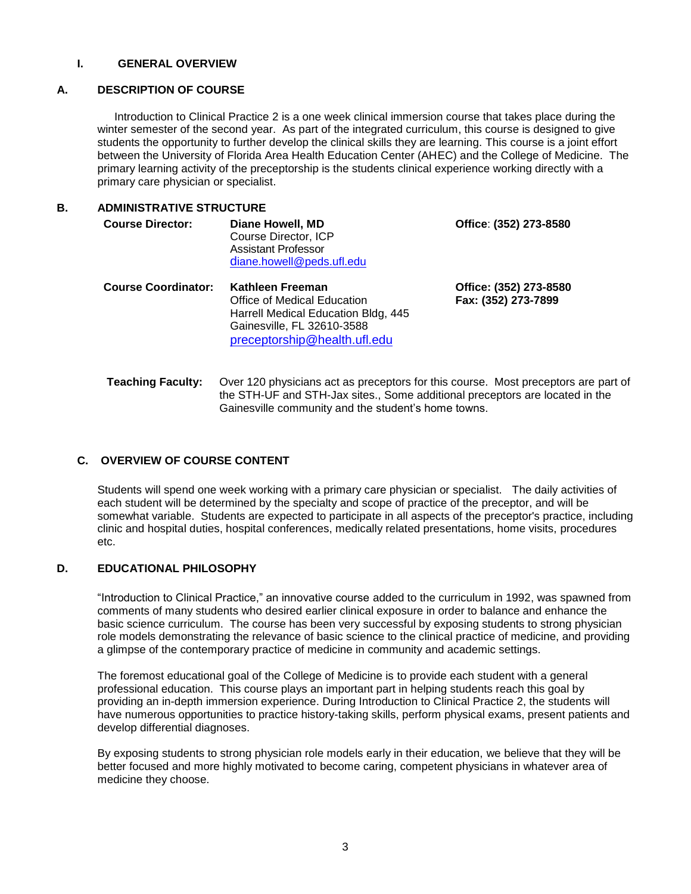#### **I. GENERAL OVERVIEW**

# *9B***A. DESCRIPTION OF COURSE**

Introduction to Clinical Practice 2 is a one week clinical immersion course that takes place during the winter semester of the second year. As part of the integrated curriculum, this course is designed to give students the opportunity to further develop the clinical skills they are learning. This course is a joint effort between the University of Florida Area Health Education Center (AHEC) and the College of Medicine. The primary learning activity of the preceptorship is the students clinical experience working directly with a primary care physician or specialist.

# **1B.** ADMINISTRATIVE STRUCTURE

| <b>Course Director:</b>    | Diane Howell, MD<br>Course Director, ICP<br><b>Assistant Professor</b><br>diane.howell@peds.ufl.edu                                                  | Office: (352) 273-8580                        |
|----------------------------|------------------------------------------------------------------------------------------------------------------------------------------------------|-----------------------------------------------|
| <b>Course Coordinator:</b> | Kathleen Freeman<br>Office of Medical Education<br>Harrell Medical Education Bldg, 445<br>Gainesville, FL 32610-3588<br>preceptorship@health.ufl.edu | Office: (352) 273-8580<br>Fax: (352) 273-7899 |

 **Teaching Faculty:** Over 120 physicians act as preceptors for this course. Most preceptors are part of the STH-UF and STH-Jax sites., Some additional preceptors are located in the Gainesville community and the student's home towns.

# *C.* OVERVIEW OF COURSE CONTENT

Students will spend one week working with a primary care physician or specialist. The daily activities of each student will be determined by the specialty and scope of practice of the preceptor, and will be somewhat variable. Students are expected to participate in all aspects of the preceptor's practice, including clinic and hospital duties, hospital conferences, medically related presentations, home visits, procedures etc.

# *13B***D. EDUCATIONAL PHILOSOPHY**

"Introduction to Clinical Practice," an innovative course added to the curriculum in 1992, was spawned from comments of many students who desired earlier clinical exposure in order to balance and enhance the basic science curriculum. The course has been very successful by exposing students to strong physician role models demonstrating the relevance of basic science to the clinical practice of medicine, and providing a glimpse of the contemporary practice of medicine in community and academic settings.

The foremost educational goal of the College of Medicine is to provide each student with a general professional education. This course plays an important part in helping students reach this goal by providing an in-depth immersion experience. During Introduction to Clinical Practice 2, the students will have numerous opportunities to practice history-taking skills, perform physical exams, present patients and develop differential diagnoses.

By exposing students to strong physician role models early in their education, we believe that they will be better focused and more highly motivated to become caring, competent physicians in whatever area of medicine they choose.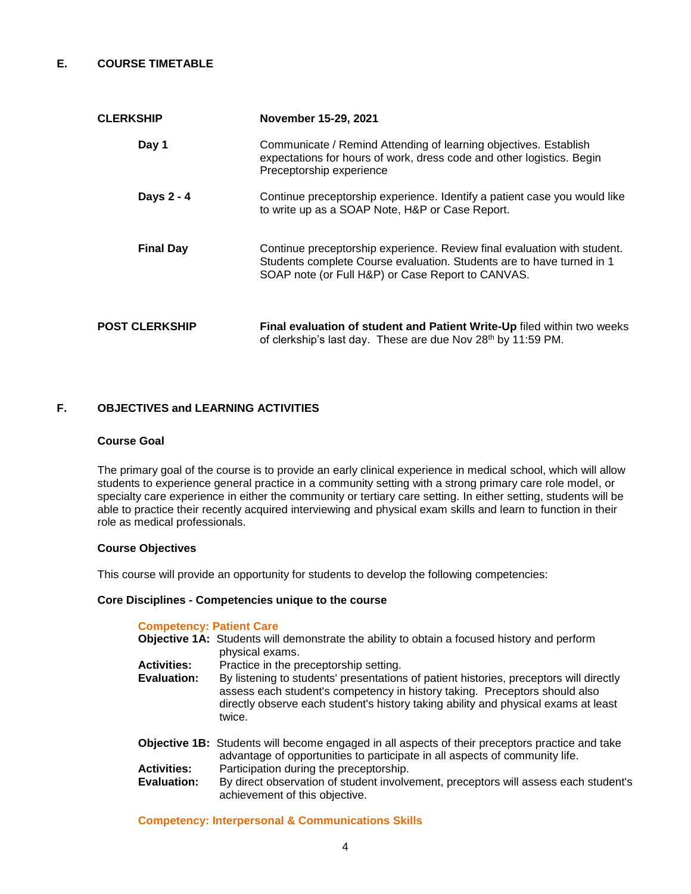# *14B***E. COURSE TIMETABLE**

| <b>CLERKSHIP</b>      | November 15-29, 2021                                                                                                                                                                                   |  |  |  |
|-----------------------|--------------------------------------------------------------------------------------------------------------------------------------------------------------------------------------------------------|--|--|--|
| Day 1                 | Communicate / Remind Attending of learning objectives. Establish<br>expectations for hours of work, dress code and other logistics. Begin<br>Preceptorship experience                                  |  |  |  |
| Days 2 - 4            | Continue preceptorship experience. Identify a patient case you would like<br>to write up as a SOAP Note, H&P or Case Report.                                                                           |  |  |  |
| <b>Final Day</b>      | Continue preceptorship experience. Review final evaluation with student.<br>Students complete Course evaluation. Students are to have turned in 1<br>SOAP note (or Full H&P) or Case Report to CANVAS. |  |  |  |
| <b>POST CLERKSHIP</b> | Final evaluation of student and Patient Write-Up filed within two weeks<br>of clerkship's last day. These are due Nov 28th by 11:59 PM.                                                                |  |  |  |

# **F. OBJECTIVES and LEARNING ACTIVITIES**

#### *30B* **Course Goal**

The primary goal of the course is to provide an early clinical experience in medical school, which will allow students to experience general practice in a community setting with a strong primary care role model, or specialty care experience in either the community or tertiary care setting. In either setting, students will be able to practice their recently acquired interviewing and physical exam skills and learn to function in their role as medical professionals.

#### **Course Objectives**

This course will provide an opportunity for students to develop the following competencies:

#### **Core Disciplines - Competencies unique to the course**

#### **Competency: Patient Care**

|                    | <b>Objective 1A:</b> Students will demonstrate the ability to obtain a focused history and perform                                                                                                                                                                   |
|--------------------|----------------------------------------------------------------------------------------------------------------------------------------------------------------------------------------------------------------------------------------------------------------------|
|                    | physical exams.                                                                                                                                                                                                                                                      |
| <b>Activities:</b> | Practice in the preceptorship setting.                                                                                                                                                                                                                               |
| Evaluation:        | By listening to students' presentations of patient histories, preceptors will directly<br>assess each student's competency in history taking. Preceptors should also<br>directly observe each student's history taking ability and physical exams at least<br>twice. |

- **Objective 1B:** Students will become engaged in all aspects of their preceptors practice and take advantage of opportunities to participate in all aspects of community life. **Activities:** Participation during the preceptorship.<br>**Evaluation:** By direct observation of student involve
- By direct observation of student involvement, preceptors will assess each student's achievement of this objective.

**Competency: Interpersonal & Communications Skills**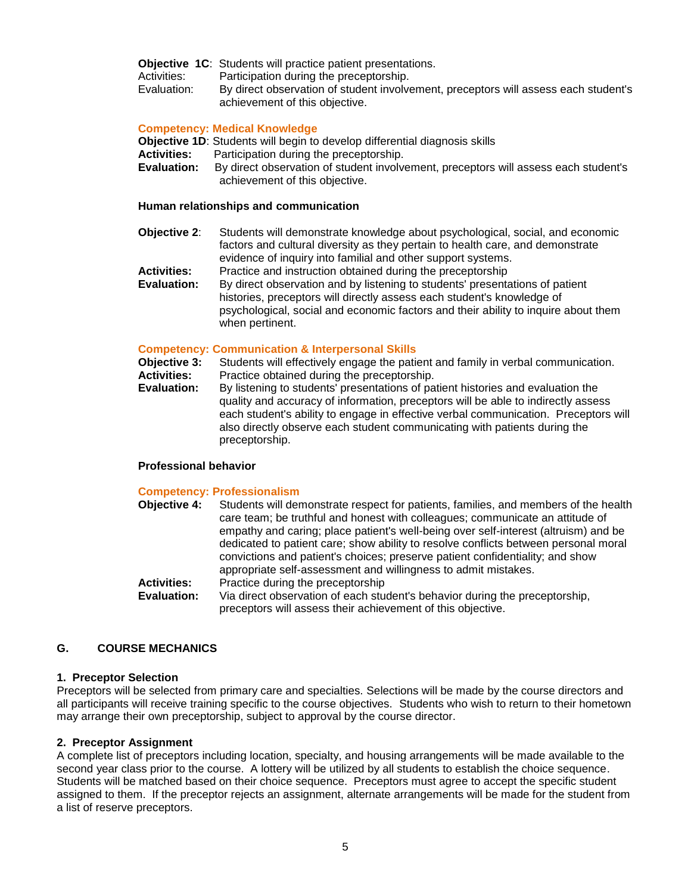**Objective 1C:** Students will practice patient presentations.<br>Activities: Participation during the preceptorship.

Activities: Participation during the preceptorship.<br>Evaluation: By direct observation of student involve

By direct observation of student involvement, preceptors will assess each student's achievement of this objective.

# **Competency: Medical Knowledge**

**Objective 1D**: Students will begin to develop differential diagnosis skills

- **Activities:** Participation during the preceptorship.
- **Evaluation:** By direct observation of student involvement, preceptors will assess each student's achievement of this objective.

# **Human relationships and communication**

- **Objective 2**: Students will demonstrate knowledge about psychological, social, and economic factors and cultural diversity as they pertain to health care, and demonstrate evidence of inquiry into familial and other support systems. **Activities:** Practice and instruction obtained during the preceptorship
- **Evaluation:** By direct observation and by listening to students' presentations of patient histories, preceptors will directly assess each student's knowledge of psychological, social and economic factors and their ability to inquire about them when pertinent.

# **Competency: Communication & Interpersonal Skills**

- **Objective 3:** Students will effectively engage the patient and family in verbal communication.
- **Activities:** Practice obtained during the preceptorship.
- **Evaluation:** By listening to students' presentations of patient histories and evaluation the quality and accuracy of information, preceptors will be able to indirectly assess each student's ability to engage in effective verbal communication. Preceptors will also directly observe each student communicating with patients during the preceptorship.

# **Professional behavior**

#### **Competency: Professionalism**

**Objective 4:** Students will demonstrate respect for patients, families, and members of the health care team; be truthful and honest with colleagues; communicate an attitude of empathy and caring; place patient's well-being over self-interest (altruism) and be dedicated to patient care; show ability to resolve conflicts between personal moral convictions and patient's choices; preserve patient confidentiality; and show appropriate self-assessment and willingness to admit mistakes.  **Activities:** Practice during the preceptorship **Evaluation:** Via direct observation of each student's behavior during the preceptorship, preceptors will assess their achievement of this objective.

# *16B***G. COURSE MECHANICS**

# **1. Preceptor Selection**

Preceptors will be selected from primary care and specialties. Selections will be made by the course directors and all participants will receive training specific to the course objectives. Students who wish to return to their hometown may arrange their own preceptorship, subject to approval by the course director.

# **2. Preceptor Assignment**

A complete list of preceptors including location, specialty, and housing arrangements will be made available to the second year class prior to the course. A lottery will be utilized by all students to establish the choice sequence. Students will be matched based on their choice sequence. Preceptors must agree to accept the specific student assigned to them. If the preceptor rejects an assignment, alternate arrangements will be made for the student from a list of reserve preceptors.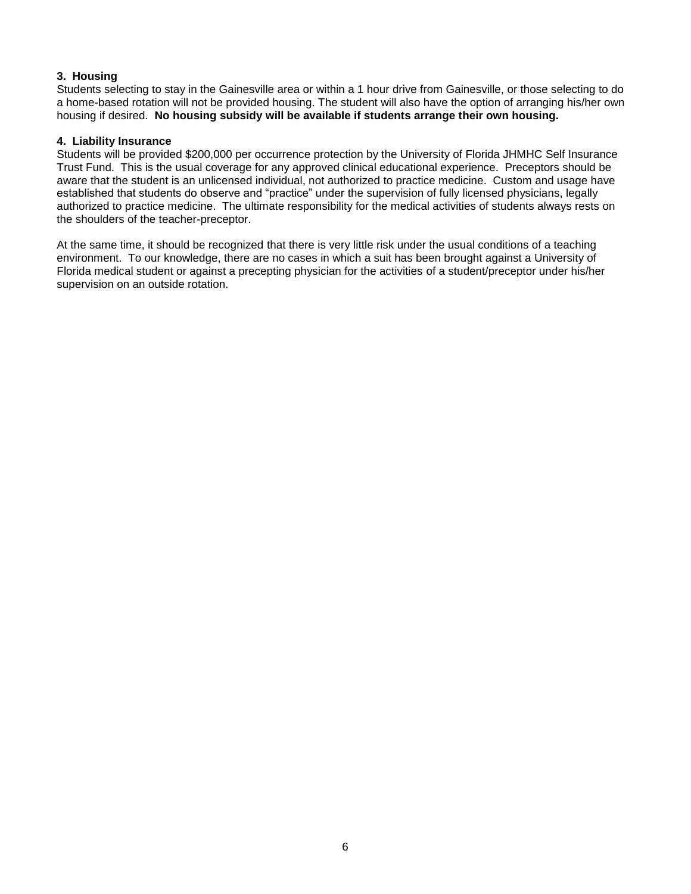# **3. Housing**

Students selecting to stay in the Gainesville area or within a 1 hour drive from Gainesville, or those selecting to do a home-based rotation will not be provided housing. The student will also have the option of arranging his/her own housing if desired. **No housing subsidy will be available if students arrange their own housing.**

# **4. Liability Insurance**

Students will be provided \$200,000 per occurrence protection by the University of Florida JHMHC Self Insurance Trust Fund. This is the usual coverage for any approved clinical educational experience. Preceptors should be aware that the student is an unlicensed individual, not authorized to practice medicine. Custom and usage have established that students do observe and "practice" under the supervision of fully licensed physicians, legally authorized to practice medicine. The ultimate responsibility for the medical activities of students always rests on the shoulders of the teacher-preceptor.

At the same time, it should be recognized that there is very little risk under the usual conditions of a teaching environment. To our knowledge, there are no cases in which a suit has been brought against a University of Florida medical student or against a precepting physician for the activities of a student/preceptor under his/her supervision on an outside rotation.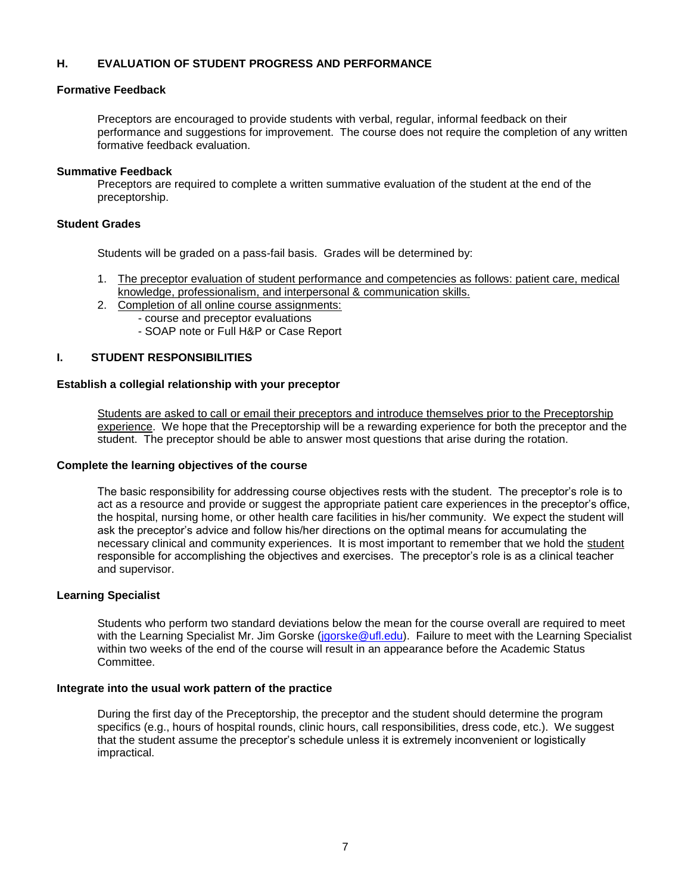# **H. EVALUATION OF STUDENT PROGRESS AND PERFORMANCE**

#### *17B***Formative Feedback**

Preceptors are encouraged to provide students with verbal, regular, informal feedback on their performance and suggestions for improvement. The course does not require the completion of any written formative feedback evaluation.

#### **Summative Feedback**

Preceptors are required to complete a written summative evaluation of the student at the end of the preceptorship.

#### **Student Grades**

Students will be graded on a pass-fail basis. Grades will be determined by:

- 1. The preceptor evaluation of student performance and competencies as follows: patient care, medical knowledge, professionalism, and interpersonal & communication skills.
- 2. Completion of all online course assignments:
	- course and preceptor evaluations
	- SOAP note or Full H&P or Case Report

# *19B***I. STUDENT RESPONSIBILITIES**

#### *20B***Establish a collegial relationship with your preceptor**

Students are asked to call or email their preceptors and introduce themselves prior to the Preceptorship experience. We hope that the Preceptorship will be a rewarding experience for both the preceptor and the student. The preceptor should be able to answer most questions that arise during the rotation.

#### **Complete the learning objectives of the course**

The basic responsibility for addressing course objectives rests with the student. The preceptor's role is to act as a resource and provide or suggest the appropriate patient care experiences in the preceptor's office, the hospital, nursing home, or other health care facilities in his/her community. We expect the student will ask the preceptor's advice and follow his/her directions on the optimal means for accumulating the necessary clinical and community experiences. It is most important to remember that we hold the student responsible for accomplishing the objectives and exercises. The preceptor's role is as a clinical teacher and supervisor.

#### **Learning Specialist**

Students who perform two standard deviations below the mean for the course overall are required to meet with the Learning Specialist Mr. Jim Gorske [\(jgorske@ufl.edu\)](mailto:jgorske@ufl.edu). Failure to meet with the Learning Specialist within two weeks of the end of the course will result in an appearance before the Academic Status [C](https://ufl.instructure.com/courses/340820/modules/items/6515989)ommittee.

#### **Integrate into the usual work pattern of the practice**

During the first day of the Preceptorship, the preceptor and the student should determine the program specifics (e.g., hours of hospital rounds, clinic hours, call responsibilities, dress code, etc.). We suggest that the student assume the preceptor's schedule unless it is extremely inconvenient or logistically impractical.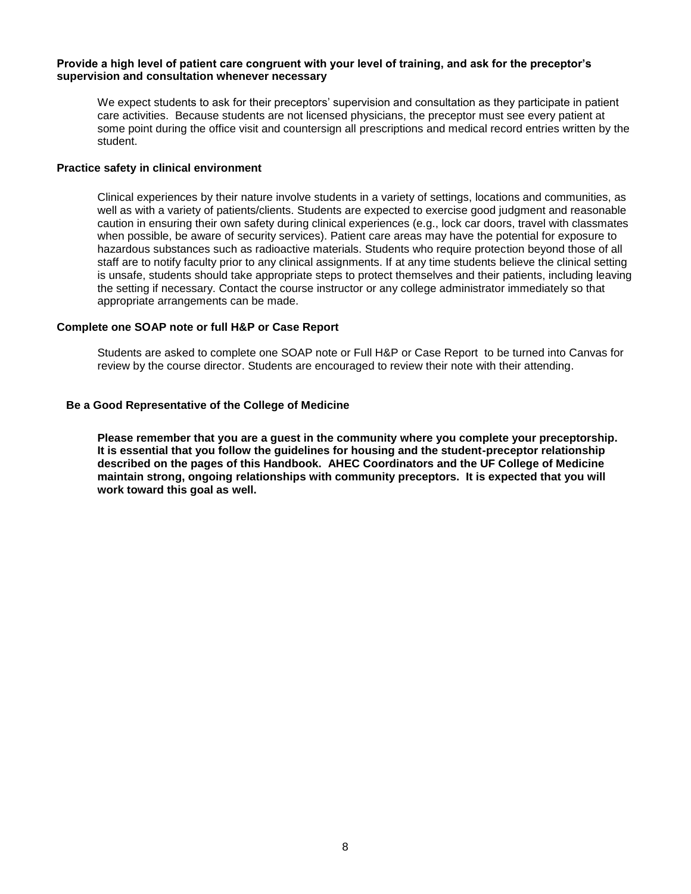#### **Provide a high level of patient care congruent with your level of training, and ask for the preceptor's supervision and consultation whenever necessary**

We expect students to ask for their preceptors' supervision and consultation as they participate in patient care activities. Because students are not licensed physicians, the preceptor must see every patient at some point during the office visit and countersign all prescriptions and medical record entries written by the student.

#### *25B***Practice safety in clinical environment**

Clinical experiences by their nature involve students in a variety of settings, locations and communities, as well as with a variety of patients/clients. Students are expected to exercise good judgment and reasonable caution in ensuring their own safety during clinical experiences (e.g., lock car doors, travel with classmates when possible, be aware of security services). Patient care areas may have the potential for exposure to hazardous substances such as radioactive materials. Students who require protection beyond those of all staff are to notify faculty prior to any clinical assignments. If at any time students believe the clinical setting is unsafe, students should take appropriate steps to protect themselves and their patients, including leaving the setting if necessary. Contact the course instructor or any college administrator immediately so that appropriate arrangements can be made.

#### *28B***Complete one SOAP note or full H&P or Case Report**

Students are asked to complete one SOAP note or Full H&P or Case Report to be turned into Canvas for review by the course director. Students are encouraged to review their note with their attending.

#### **Be a Good Representative of the College of Medicine**

**Please remember that you are a guest in the community where you complete your preceptorship. It is essential that you follow the guidelines for housing and the student-preceptor relationship described on the pages of this Handbook. AHEC Coordinators and the UF College of Medicine maintain strong, ongoing relationships with community preceptors. It is expected that you will work toward this goal as well.**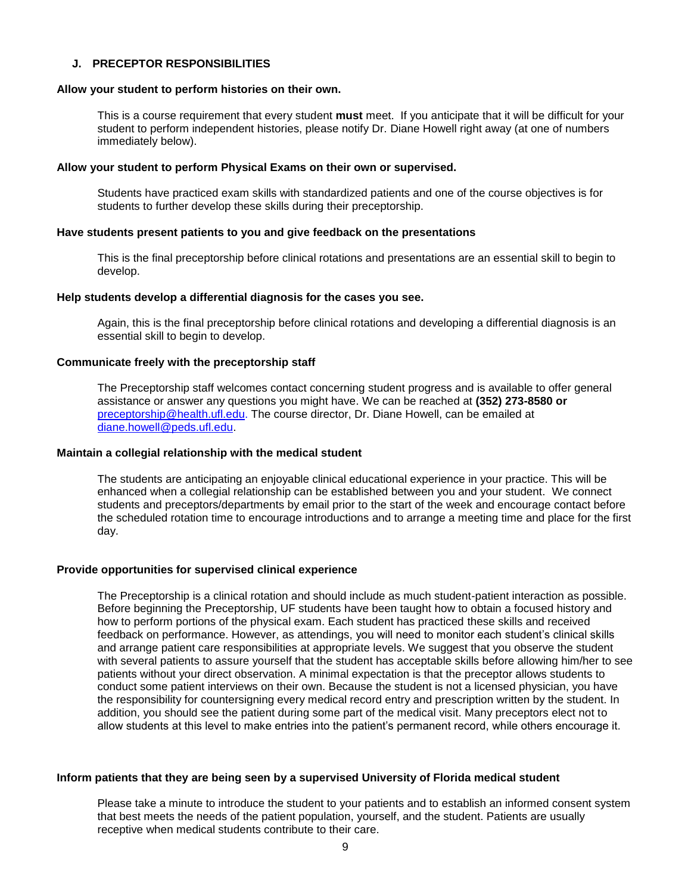#### **J. PRECEPTOR RESPONSIBILITIES**

#### **Allow your student to perform histories on their own.**

This is a course requirement that every student **must** meet. If you anticipate that it will be difficult for your student to perform independent histories, please notify Dr. Diane Howell right away (at one of numbers immediately below).

#### **Allow your student to perform Physical Exams on their own or supervised.**

Students have practiced exam skills with standardized patients and one of the course objectives is for students to further develop these skills during their preceptorship.

#### **Have students present patients to you and give feedback on the presentations**

This is the final preceptorship before clinical rotations and presentations are an essential skill to begin to develop.

#### **Help students develop a differential diagnosis for the cases you see.**

Again, this is the final preceptorship before clinical rotations and developing a differential diagnosis is an essential skill to begin to develop.

#### **Communicate freely with the preceptorship staff**

The Preceptorship staff welcomes contact concerning student progress and is available to offer general assistance or answer any questions you might have. We can be reached at **(352) 273-8580 or**  [preceptorship@health.ufl.edu.](mailto:preceptorship@health.ufl.edu) The course director, Dr. Diane Howell, can be emailed at [diane.howell@peds.ufl.edu.](mailto:diane.howell@peds.ufl.edu)

#### **Maintain a collegial relationship with the medical student**

The students are anticipating an enjoyable clinical educational experience in your practice. This will be enhanced when a collegial relationship can be established between you and your student. We connect students and preceptors/departments by email prior to the start of the week and encourage contact before the scheduled rotation time to encourage introductions and to arrange a meeting time and place for the first day.

#### **Provide opportunities for supervised clinical experience**

The Preceptorship is a clinical rotation and should include as much student-patient interaction as possible. Before beginning the Preceptorship, UF students have been taught how to obtain a focused history and how to perform portions of the physical exam. Each student has practiced these skills and received feedback on performance. However, as attendings, you will need to monitor each student's clinical skills and arrange patient care responsibilities at appropriate levels. We suggest that you observe the student with several patients to assure yourself that the student has acceptable skills before allowing him/her to see patients without your direct observation. A minimal expectation is that the preceptor allows students to conduct some patient interviews on their own. Because the student is not a licensed physician, you have the responsibility for countersigning every medical record entry and prescription written by the student. In addition, you should see the patient during some part of the medical visit. Many preceptors elect not to allow students at this level to make entries into the patient's permanent record, while others encourage it.

#### **Inform patients that they are being seen by a supervised University of Florida medical student**

Please take a minute to introduce the student to your patients and to establish an informed consent system that best meets the needs of the patient population, yourself, and the student. Patients are usually receptive when medical students contribute to their care.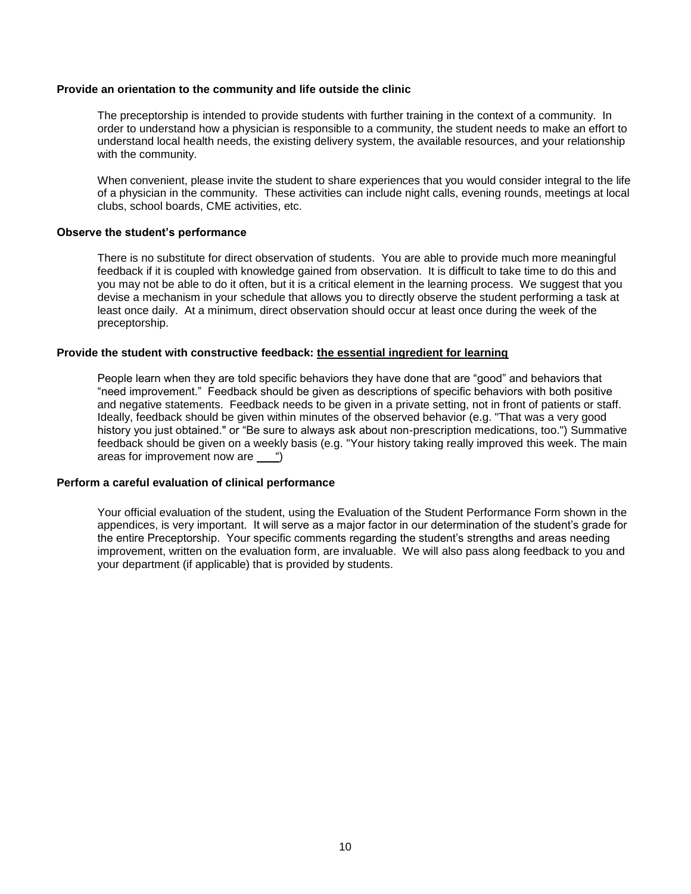#### **Provide an orientation to the community and life outside the clinic**

The preceptorship is intended to provide students with further training in the context of a community. In order to understand how a physician is responsible to a community, the student needs to make an effort to understand local health needs, the existing delivery system, the available resources, and your relationship with the community.

When convenient, please invite the student to share experiences that you would consider integral to the life of a physician in the community. These activities can include night calls, evening rounds, meetings at local clubs, school boards, CME activities, etc.

#### **Observe the student's performance**

There is no substitute for direct observation of students. You are able to provide much more meaningful feedback if it is coupled with knowledge gained from observation. It is difficult to take time to do this and you may not be able to do it often, but it is a critical element in the learning process. We suggest that you devise a mechanism in your schedule that allows you to directly observe the student performing a task at least once daily. At a minimum, direct observation should occur at least once during the week of the preceptorship.

#### **Provide the student with constructive feedback:** *U***the essential ingredient for learning**

People learn when they are told specific behaviors they have done that are "good" and behaviors that "need improvement." Feedback should be given as descriptions of specific behaviors with both positive and negative statements. Feedback needs to be given in a private setting, not in front of patients or staff. Ideally, feedback should be given within minutes of the observed behavior (e.g. "That was a very good history you just obtained." or "Be sure to always ask about non-prescription medications, too.") Summative feedback should be given on a weekly basis (e.g. "Your history taking really improved this week. The main areas for improvement now are ")

#### *2B***Perform a careful evaluation of clinical performance**

Your official evaluation of the student, using the Evaluation of the Student Performance Form shown in the appendices, is very important. It will serve as a major factor in our determination of the student's grade for the entire Preceptorship. Your specific comments regarding the student's strengths and areas needing improvement, written on the evaluation form, are invaluable. We will also pass along feedback to you and your department (if applicable) that is provided by students.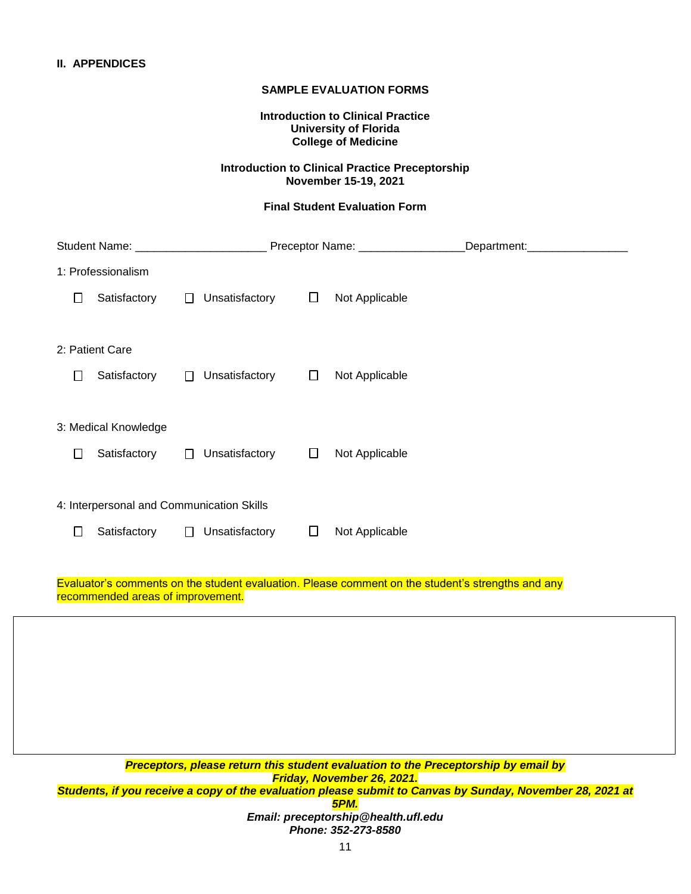#### **SAMPLE EVALUATION FORMS**

**Introduction to Clinical Practice University of Florida College of Medicine**

# **Introduction to Clinical Practice Preceptorship November 15-19, 2021**

#### **Final Student Evaluation Form**

| Student Name: ________________________                                                                                                 |        | Preceptor Name: __________________ |        |                | Department: __________________ |  |  |  |  |
|----------------------------------------------------------------------------------------------------------------------------------------|--------|------------------------------------|--------|----------------|--------------------------------|--|--|--|--|
| 1: Professionalism                                                                                                                     |        |                                    |        |                |                                |  |  |  |  |
| Satisfactory<br>$\perp$                                                                                                                | $\Box$ | Unsatisfactory                     | $\Box$ | Not Applicable |                                |  |  |  |  |
|                                                                                                                                        |        |                                    |        |                |                                |  |  |  |  |
| 2: Patient Care                                                                                                                        |        |                                    |        |                |                                |  |  |  |  |
| Satisfactory<br>$\Box$                                                                                                                 | $\Box$ | Unsatisfactory                     | $\Box$ | Not Applicable |                                |  |  |  |  |
|                                                                                                                                        |        |                                    |        |                |                                |  |  |  |  |
| 3: Medical Knowledge                                                                                                                   |        |                                    |        |                |                                |  |  |  |  |
| Satisfactory<br>$\mathbf{1}$                                                                                                           | $\Box$ | Unsatisfactory                     | $\Box$ | Not Applicable |                                |  |  |  |  |
|                                                                                                                                        |        |                                    |        |                |                                |  |  |  |  |
| 4: Interpersonal and Communication Skills                                                                                              |        |                                    |        |                |                                |  |  |  |  |
| $\Box$<br>Satisfactory                                                                                                                 | $\Box$ | Unsatisfactory                     | $\Box$ | Not Applicable |                                |  |  |  |  |
|                                                                                                                                        |        |                                    |        |                |                                |  |  |  |  |
| Evaluator's comments on the student evaluation. Please comment on the student's strengths and any<br>recommended areas of improvement. |        |                                    |        |                |                                |  |  |  |  |
|                                                                                                                                        |        |                                    |        |                |                                |  |  |  |  |
|                                                                                                                                        |        |                                    |        |                |                                |  |  |  |  |
|                                                                                                                                        |        |                                    |        |                |                                |  |  |  |  |
|                                                                                                                                        |        |                                    |        |                |                                |  |  |  |  |
|                                                                                                                                        |        |                                    |        |                |                                |  |  |  |  |
| Preceptors, please return this student evaluation to the Preceptorship by email by<br>Friday, November 26, 2021.                       |        |                                    |        |                |                                |  |  |  |  |

*Students, if you receive a copy of the evaluation please submit to Canvas by Sunday, November 28, 2021 at 5PM.*

*Email: preceptorship@health.ufl.edu Phone: 352-273-8580*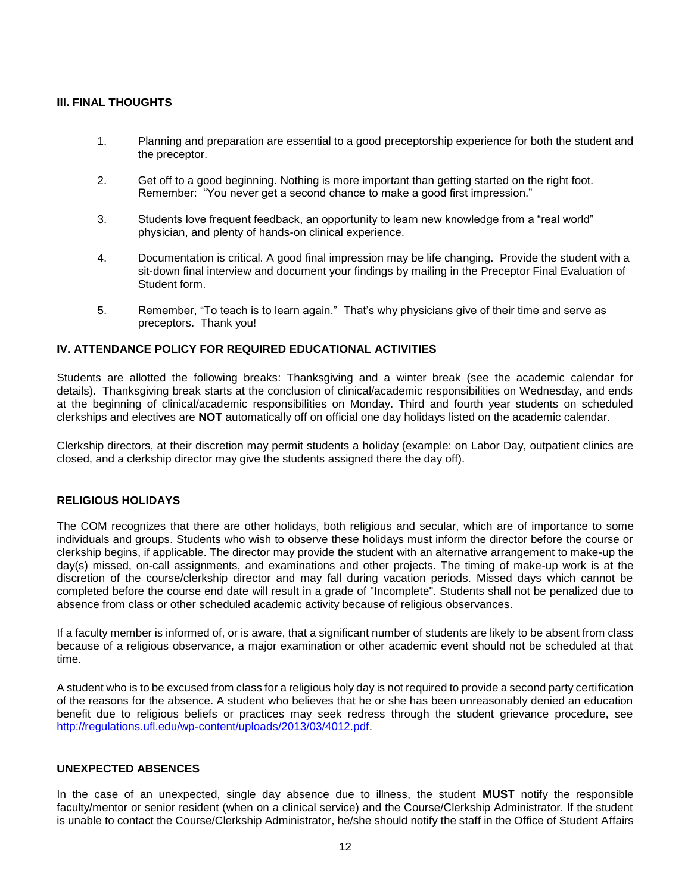# **III. FINAL THOUGHTS**

- 1. Planning and preparation are essential to a good preceptorship experience for both the student and the preceptor.
- 2. Get off to a good beginning. Nothing is more important than getting started on the right foot. Remember: "You never get a second chance to make a good first impression."
- 3. Students love frequent feedback, an opportunity to learn new knowledge from a "real world" physician, and plenty of hands-on clinical experience.
- 4. Documentation is critical. A good final impression may be life changing. Provide the student with a sit-down final interview and document your findings by mailing in the Preceptor Final Evaluation of Student form.
- 5. Remember, "To teach is to learn again." That's why physicians give of their time and serve as preceptors. Thank you!

# **IV. ATTENDANCE POLICY FOR REQUIRED EDUCATIONAL ACTIVITIES**

Students are allotted the following breaks: Thanksgiving and a winter break (see the academic calendar for details). Thanksgiving break starts at the conclusion of clinical/academic responsibilities on Wednesday, and ends at the beginning of clinical/academic responsibilities on Monday. Third and fourth year students on scheduled clerkships and electives are **NOT** automatically off on official one day holidays listed on the academic calendar.

Clerkship directors, at their discretion may permit students a holiday (example: on Labor Day, outpatient clinics are closed, and a clerkship director may give the students assigned there the day off).

#### **RELIGIOUS HOLIDAYS**

The COM recognizes that there are other holidays, both religious and secular, which are of importance to some individuals and groups. Students who wish to observe these holidays must inform the director before the course or clerkship begins, if applicable. The director may provide the student with an alternative arrangement to make-up the day(s) missed, on-call assignments, and examinations and other projects. The timing of make-up work is at the discretion of the course/clerkship director and may fall during vacation periods. Missed days which cannot be completed before the course end date will result in a grade of "Incomplete". Students shall not be penalized due to absence from class or other scheduled academic activity because of religious observances.

If a faculty member is informed of, or is aware, that a significant number of students are likely to be absent from class because of a religious observance, a major examination or other academic event should not be scheduled at that time.

A student who is to be excused from class for a religious holy day is not required to provide a second party certification of the reasons for the absence. A student who believes that he or she has been unreasonably denied an education benefit due to religious beliefs or practices may seek redress through the student grievance procedure, see [http://regulations.ufl.edu/wp-content/uploads/2013/03/4012.pdf.](http://regulations.ufl.edu/wp-content/uploads/2013/03/4012.pdf)

#### **UNEXPECTED ABSENCES**

In the case of an unexpected, single day absence due to illness, the student **MUST** notify the responsible faculty/mentor or senior resident (when on a clinical service) and the Course/Clerkship Administrator. If the student is unable to contact the Course/Clerkship Administrator, he/she should notify the staff in the Office of Student Affairs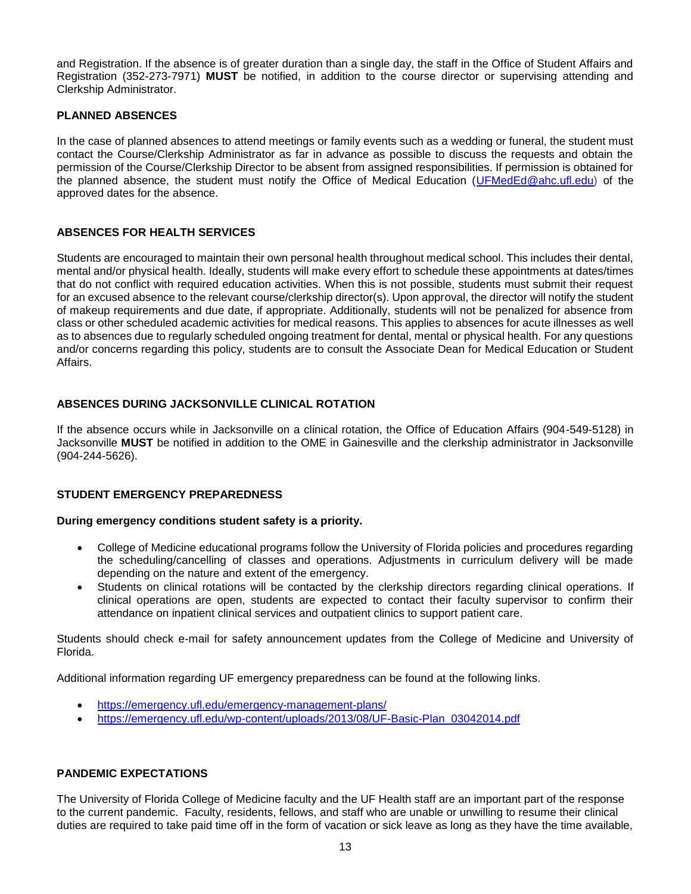and Registration. If the absence is of greater duration than a single day, the staff in the Office of Student Affairs and Registration (352-273-7971) **MUST** be notified, in addition to the course director or supervising attending and Clerkship Administrator.

# **PLANNED ABSENCES**

In the case of planned absences to attend meetings or family events such as a wedding or funeral, the student must contact the Course/Clerkship Administrator as far in advance as possible to discuss the requests and obtain the permission of the Course/Clerkship Director to be absent from assigned responsibilities. If permission is obtained for the planned absence, the student must notify the Office of Medical Education [\(UFMedEd@ahc.ufl.edu\)](mailto:UFMedEd@ahc.ufl.edu) of the approved dates for the absence.

# **ABSENCES FOR HEALTH SERVICES**

Students are encouraged to maintain their own personal health throughout medical school. This includes their dental, mental and/or physical health. Ideally, students will make every effort to schedule these appointments at dates/times that do not conflict with required education activities. When this is not possible, students must submit their request for an excused absence to the relevant course/clerkship director(s). Upon approval, the director will notify the student of makeup requirements and due date, if appropriate. Additionally, students will not be penalized for absence from class or other scheduled academic activities for medical reasons. This applies to absences for acute illnesses as well as to absences due to regularly scheduled ongoing treatment for dental, mental or physical health. For any questions and/or concerns regarding this policy, students are to consult the Associate Dean for Medical Education or Student Affairs.

# **ABSENCES DURING JACKSONVILLE CLINICAL ROTATION**

If the absence occurs while in Jacksonville on a clinical rotation, the Office of Education Affairs (904-549-5128) in Jacksonville **MUST** be notified in addition to the OME in Gainesville and the clerkship administrator in Jacksonville (904-244-5626).

#### **STUDENT EMERGENCY PREPAREDNESS**

#### **During emergency conditions student safety is a priority.**

- College of Medicine educational programs follow the University of Florida policies and procedures regarding the scheduling/cancelling of classes and operations. Adjustments in curriculum delivery will be made depending on the nature and extent of the emergency.
- Students on clinical rotations will be contacted by the clerkship directors regarding clinical operations. If clinical operations are open, students are expected to contact their faculty supervisor to confirm their attendance on inpatient clinical services and outpatient clinics to support patient care.

Students should check e-mail for safety announcement updates from the College of Medicine and University of Florida.

Additional information regarding UF emergency preparedness can be found at the following links.

- <https://emergency.ufl.edu/emergency-management-plans/>
- [https://emergency.ufl.edu/wp-content/uploads/2013/08/UF-Basic-Plan\\_03042014.pdf](https://emergency.ufl.edu/wp-content/uploads/2013/08/UF-Basic-Plan_03042014.pdf)

#### **PANDEMIC EXPECTATIONS**

The University of Florida College of Medicine faculty and the UF Health staff are an important part of the response to the current pandemic. Faculty, residents, fellows, and staff who are unable or unwilling to resume their clinical duties are required to take paid time off in the form of vacation or sick leave as long as they have the time available,